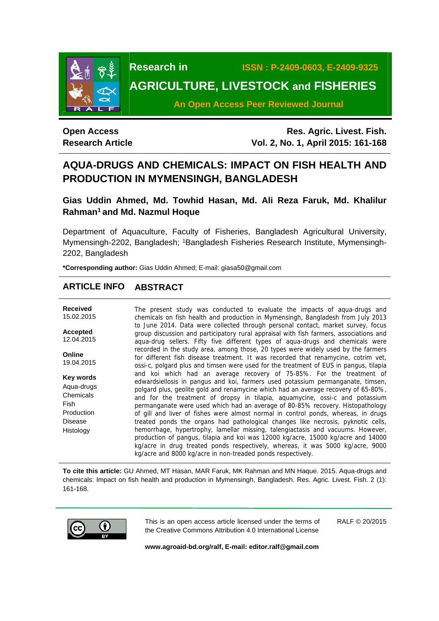

**Research in ISSN : P-2409-0603, E-2409-9325 AGRICULTURE, LIVESTOCK and FISHERIES** 

**An Open Access Peer Reviewed Journal**

# **Open Access Research Article**

**Res. Agric. Livest. Fish. Vol. 2, No. 1, April 2015: 161-168**

# **AQUA-DRUGS AND CHEMICALS: IMPACT ON FISH HEALTH AND PRODUCTION IN MYMENSINGH, BANGLADESH**

**Gias Uddin Ahmed, Md. Towhid Hasan, Md. Ali Reza Faruk, Md. Khalilur Rahman1 and Md. Nazmul Hoque** 

Department of Aquaculture, Faculty of Fisheries, Bangladesh Agricultural University, Mymensingh-2202, Bangladesh; <sup>1</sup>Bangladesh Fisheries Research Institute, Mymensingh-2202, Bangladesh

**\*Corresponding author:** Gias Uddin Ahmed; E-mail: giasa50@gmail.com

# **ARTICLE INFO ABSTRACT**

| Received<br>15.02.2015                                                             | The present study was conducted to evaluate the impacts of aqua-drugs and<br>chemicals on fish health and production in Mymensingh, Bangladesh from July 2013<br>to June 2014. Data were collected through personal contact, market survey, focus                                                                                                                                                                                                                                                                                                                                                                                                                                                                                                                                                                                                                                                                  |
|------------------------------------------------------------------------------------|--------------------------------------------------------------------------------------------------------------------------------------------------------------------------------------------------------------------------------------------------------------------------------------------------------------------------------------------------------------------------------------------------------------------------------------------------------------------------------------------------------------------------------------------------------------------------------------------------------------------------------------------------------------------------------------------------------------------------------------------------------------------------------------------------------------------------------------------------------------------------------------------------------------------|
| Accepted<br>12.04.2015                                                             | group discussion and participatory rural appraisal with fish farmers, associations and<br>aqua-drug sellers. Fifty five different types of aqua-drugs and chemicals were                                                                                                                                                                                                                                                                                                                                                                                                                                                                                                                                                                                                                                                                                                                                           |
| Online<br>19.04.2015                                                               | recorded in the study area, among those, 20 types were widely used by the farmers<br>for different fish disease treatment. It was recorded that renamycine, cotrim vet,<br>ossi-c, polgard plus and timsen were used for the treatment of EUS in pangus, tilapia                                                                                                                                                                                                                                                                                                                                                                                                                                                                                                                                                                                                                                                   |
| Key words<br>Aqua-drugs<br>Chemicals<br>Fish<br>Production<br>Disease<br>Histology | and koi which had an average recovery of 75-85%. For the treatment of<br>edwardsiellosis in pangus and koi, farmers used potassium permanganate, timsen,<br>polgard plus, geolite gold and renamycine which had an average recovery of 65-80%,<br>and for the treatment of dropsy in tilapia, aquamycine, ossi-c and potassium<br>permanganate were used which had an average of 80-85% recovery. Histopathology<br>of gill and liver of fishes were almost normal in control ponds, whereas, in drugs<br>treated ponds the organs had pathological changes like necrosis, pyknotic cells,<br>hemorrhage, hypertrophy, lamellar missing, talengiactasis and vacuums. However,<br>production of pangus, tilapia and koi was 12000 kg/acre, 15000 kg/acre and 14000<br>kg/acre in drug treated ponds respectively, whereas, it was 5000 kg/acre, 9000<br>kg/acre and 8000 kg/acre in non-treaded ponds respectively. |

**To cite this article:** GU Ahmed, MT Hasan, MAR Faruk, MK Rahman and MN Haque. 2015. Aqua-drugs and chemicals: Impact on fish health and production in Mymensingh, Bangladesh. Res. Agric. Livest. Fish. 2 (1): 161-168.



This is an open access article licensed under the terms of the Creative Commons Attribution 4.0 International License

RALF © 20/2015

**www.agroaid-bd.org/ralf, E-mail: editor.ralf@gmail.com**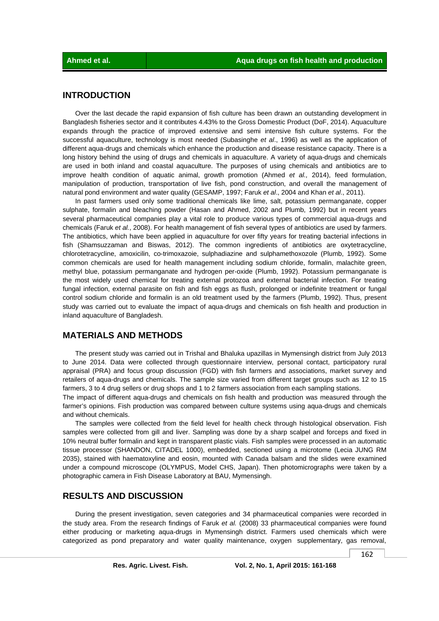### **INTRODUCTION**

 Over the last decade the rapid expansion of fish culture has been drawn an outstanding development in Bangladesh fisheries sector and it contributes 4.43% to the Gross Domestic Product (DoF, 2014). Aquaculture expands through the practice of improved extensive and semi intensive fish culture systems. For the successful aquaculture, technology is most needed (Subasinghe *et al*., 1996) as well as the application of different aqua-drugs and chemicals which enhance the production and disease resistance capacity. There is a long history behind the using of drugs and chemicals in aquaculture. A variety of aqua-drugs and chemicals are used in both inland and coastal aquaculture. The purposes of using chemicals and antibiotics are to improve health condition of aquatic animal, growth promotion (Ahmed *et al.,* 2014), feed formulation, manipulation of production, transportation of live fish, pond construction, and overall the management of natural pond environment and water quality (GESAMP, 1997; Faruk *et al*., 2004 and Khan *et al*., 2011).

 In past farmers used only some traditional chemicals like lime, salt, potassium permanganate, copper sulphate, formalin and bleaching powder (Hasan and Ahmed, 2002 and Plumb, 1992) but in recent years several pharmaceutical companies play a vital role to produce various types of commercial aqua-drugs and chemicals (Faruk *et al.*, 2008). For health management of fish several types of antibiotics are used by farmers. The antibiotics, which have been applied in aquaculture for over fifty years for treating bacterial infections in fish (Shamsuzzaman and Biswas, 2012). The common ingredients of antibiotics are oxytetracycline, chlorotetracycline, amoxicilin, co-trimoxazoie, sulphadiazine and sulphamethoxozole (Plumb, 1992). Some common chemicals are used for health management including sodium chloride, formalin, malachite green, methyl blue, potassium permanganate and hydrogen per-oxide (Plumb, 1992). Potassium permanganate is the most widely used chemical for treating external protozoa and external bacterial infection. For treating fungal infection, external parasite on fish and fish eggs as flush, prolonged or indefinite treatment or fungal control sodium chloride and formalin is an old treatment used by the farmers (Plumb, 1992). Thus, present study was carried out to evaluate the impact of aqua-drugs and chemicals on fish health and production in inland aquaculture of Bangladesh.

# **MATERIALS AND METHODS**

 The present study was carried out in Trishal and Bhaluka upazillas in Mymensingh district from July 2013 to June 2014. Data were collected through questionnaire interview, personal contact, participatory rural appraisal (PRA) and focus group discussion (FGD) with fish farmers and associations, market survey and retailers of aqua-drugs and chemicals. The sample size varied from different target groups such as 12 to 15 farmers, 3 to 4 drug sellers or drug shops and 1 to 2 farmers association from each sampling stations.

The impact of different aqua-drugs and chemicals on fish health and production was measured through the farmer's opinions. Fish production was compared between culture systems using aqua-drugs and chemicals and without chemicals.

 The samples were collected from the field level for health check through histological observation. Fish samples were collected from gill and liver. Sampling was done by a sharp scalpel and forceps and fixed in 10% neutral buffer formalin and kept in transparent plastic vials. Fish samples were processed in an automatic tissue processor (SHANDON, CITADEL 1000), embedded, sectioned using a microtome (Lecia JUNG RM 2035), stained with haematoxyline and eosin, mounted with Canada balsam and the slides were examined under a compound microscope (OLYMPUS, Model CHS, Japan). Then photomicrographs were taken by a photographic camera in Fish Disease Laboratory at BAU, Mymensingh.

# **RESULTS AND DISCUSSION**

 During the present investigation, seven categories and 34 pharmaceutical companies were recorded in the study area. From the research findings of Faruk *et al.* (2008) 33 pharmaceutical companies were found either producing or marketing aqua-drugs in Mymensingh district. Farmers used chemicals which were categorized as pond preparatory and water quality maintenance, oxygen supplementary, gas removal,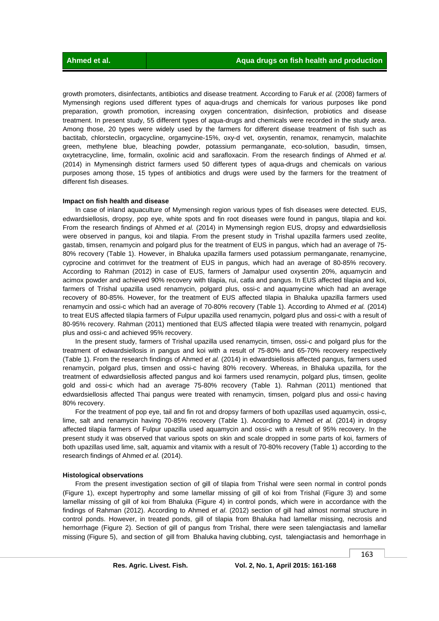growth promoters, disinfectants, antibiotics and disease treatment. According to Faruk *et al.* (2008) farmers of Mymensingh regions used different types of aqua-drugs and chemicals for various purposes like pond preparation, growth promotion, increasing oxygen concentration, disinfection, probiotics and disease treatment. In present study, 55 different types of aqua-drugs and chemicals were recorded in the study area. Among those, 20 types were widely used by the farmers for different disease treatment of fish such as bactitab, chlorsteclin, orgacycline, orgamycine-15%, oxy-d vet, oxysentin, renamox, renamycin, malachite green, methylene blue, bleaching powder, potassium permanganate, eco-solution, basudin, timsen, oxytetracycline, lime, formalin, oxolinic acid and sarafloxacin. From the research findings of Ahmed *et al.* (2014) in Mymensingh district farmers used 50 different types of aqua-drugs and chemicals on various purposes among those, 15 types of antibiotics and drugs were used by the farmers for the treatment of different fish diseases.

#### **Impact on fish health and disease**

 In case of inland aquaculture of Mymensingh region various types of fish diseases were detected. EUS, edwardsiellosis, dropsy, pop eye, white spots and fin root diseases were found in pangus, tilapia and koi. From the research findings of Ahmed *et al.* (2014) in Mymensingh region EUS, dropsy and edwardsiellosis were observed in pangus, koi and tilapia. From the present study in Trishal upazilla farmers used zeolite, gastab, timsen, renamycin and polgard plus for the treatment of EUS in pangus, which had an average of 75- 80% recovery (Table 1). However, in Bhaluka upazilla farmers used potassium permanganate, renamycine, cyprocine and cotrimvet for the treatment of EUS in pangus, which had an average of 80-85% recovery. According to Rahman (2012) in case of EUS, farmers of Jamalpur used oxysentin 20%, aquamycin and acimox powder and achieved 90% recovery with tilapia, rui, catla and pangus. In EUS affected tilapia and koi, farmers of Trishal upazilla used renamycin, polgard plus, ossi-c and aquamycine which had an average recovery of 80-85%. However, for the treatment of EUS affected tilapia in Bhaluka upazilla farmers used renamycin and ossi-c which had an average of 70-80% recovery (Table 1). According to Ahmed *et al.* (2014) to treat EUS affected tilapia farmers of Fulpur upazilla used renamycin, polgard plus and ossi-c with a result of 80-95% recovery. Rahman (2011) mentioned that EUS affected tilapia were treated with renamycin, polgard plus and ossi-c and achieved 95% recovery.

 In the present study, farmers of Trishal upazilla used renamycin, timsen, ossi-c and polgard plus for the treatment of edwardsiellosis in pangus and koi with a result of 75-80% and 65-70% recovery respectively (Table 1). From the research findings of Ahmed *et al.* (2014) in edwardsiellosis affected pangus, farmers used renamycin, polgard plus, timsen and ossi-c having 80% recovery. Whereas, in Bhaluka upazilla, for the treatment of edwardsiellosis affected pangus and koi farmers used renamycin, polgard plus, timsen, geolite gold and ossi-c which had an average 75-80% recovery (Table 1). Rahman (2011) mentioned that edwardsiellosis affected Thai pangus were treated with renamycin, timsen, polgard plus and ossi-c having 80% recovery.

 For the treatment of pop eye, tail and fin rot and dropsy farmers of both upazillas used aquamycin, ossi-c, lime, salt and renamycin having 70-85% recovery (Table 1). According to Ahmed *et al.* (2014) in dropsy affected tilapia farmers of Fulpur upazilla used aquamycin and ossi-c with a result of 95% recovery. In the present study it was observed that various spots on skin and scale dropped in some parts of koi, farmers of both upazillas used lime, salt, aquamix and vitamix with a result of 70-80% recovery (Table 1) according to the research findings of Ahmed *et al.* (2014).

#### **Histological observations**

 From the present investigation section of gill of tilapia from Trishal were seen normal in control ponds (Figure 1), except hypertrophy and some lamellar missing of gill of koi from Trishal (Figure 3) and some lamellar missing of gill of koi from Bhaluka (Figure 4) in control ponds, which were in accordance with the findings of Rahman (2012). According to Ahmed *et al*. (2012) section of gill had almost normal structure in control ponds. However, in treated ponds, gill of tilapia from Bhaluka had lamellar missing, necrosis and hemorrhage (Figure 2). Section of gill of pangus from Trishal, there were seen talengiactasis and lamellar missing (Figure 5), and section of gill from Bhaluka having clubbing, cyst, talengiactasis and hemorrhage in

163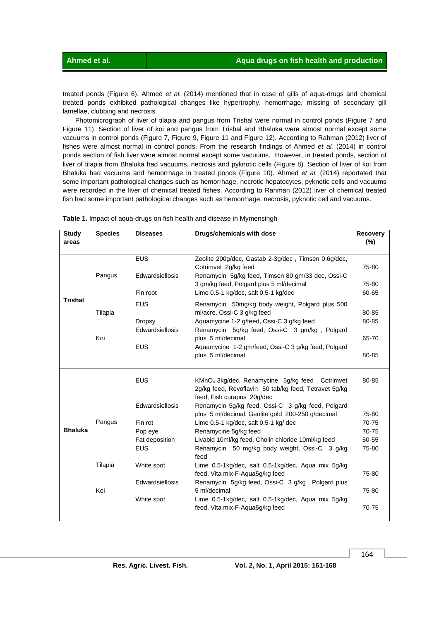treated ponds (Figure 6). Ahmed *et al.* (2014) mentioned that in case of gills of aqua-drugs and chemical treated ponds exhibited pathological changes like hypertrophy, hemorrhage, missing of secondary gill lamellae, clubbing and necrosis.

 Photomicrograph of liver of tilapia and pangus from Trishal were normal in control ponds (Figure 7 and Figure 11). Section of liver of koi and pangus from Trishal and Bhaluka were almost normal except some vacuums in control ponds (Figure 7, Figure 9, Figure 11 and Figure 12). According to Rahman (2012) liver of fishes were almost normal in control ponds. From the research findings of Ahmed *et al.* (2014) in control ponds section of fish liver were almost normal except some vacuums. However, in treated ponds, section of liver of tilapia from Bhaluka had vacuums, necrosis and pyknotic cells (Figure 8). Section of liver of koi from Bhaluka had vacuums and hemorrhage in treated ponds (Figure 10). Ahmed *et al.* (2014) reportated that some important pathological changes such as hemorrhage, necrotic hepatocytes, pyknotic cells and vacuums were recorded in the liver of chemical treated fishes. According to Rahman (2012) liver of chemical treated fish had some important pathological changes such as hemorrhage, necrosis, pyknotic cell and vacuums.

| Study          | <b>Species</b> | <b>Diseases</b> | Drugs/chemicals with dose                                                                                            | <b>Recovery</b> |
|----------------|----------------|-----------------|----------------------------------------------------------------------------------------------------------------------|-----------------|
| areas          |                |                 |                                                                                                                      | $(\%)$          |
|                |                |                 |                                                                                                                      |                 |
|                |                | <b>EUS</b>      | Zeolite 200g/dec, Gastab 2-3g/dec, Timsen 0.6g/dec,<br>Cotrimvet 2g/kg feed                                          | 75-80           |
|                | Pangus         | Edwardsiellosis | Renamycin 5g/kg feed, Timsen 80 gm/33 dec, Ossi-C                                                                    |                 |
|                |                |                 | 3 gm/kg feed, Polgard plus 5 ml/decimal                                                                              | 75-80           |
| <b>Trishal</b> |                | Fin root        | Lime 0.5-1 kg/dec, salt 0.5-1 kg/dec                                                                                 | 60-65           |
|                |                | <b>EUS</b>      | Renamycin 50mg/kg body weight, Polgard plus 500                                                                      |                 |
|                | Tilapia        |                 | ml/acre, Ossi-C 3 g/kg feed                                                                                          | 80-85           |
|                |                | <b>Dropsy</b>   | Aquamycine 1-2 g/feed, Ossi-C 3 g/kg feed                                                                            | 80-85           |
|                |                | Edwardsiellosis | Renamycin 5g/kg feed, Ossi-C 3 gm/kg, Polgard                                                                        |                 |
|                | Koi            |                 | plus 5 ml/decimal                                                                                                    | 65-70           |
|                |                | <b>EUS</b>      | Aquamycine 1-2 gm/feed, Ossi-C 3 g/kg feed, Polgard<br>plus 5 ml/decimal                                             | 80-85           |
|                |                |                 |                                                                                                                      |                 |
|                |                |                 |                                                                                                                      |                 |
|                |                | <b>EUS</b>      | KMnO <sub>4</sub> 3kg/dec, Renamycine 5g/kg feed, Cotrimvet<br>2g/kg feed, Revoflavin 50 tab/kg feed, Tetravet 5g/kg | 80-85           |
|                |                |                 | feed, Fish curapus 20g/dec                                                                                           |                 |
|                |                | Edwardsiellosis | Renamycin 5g/kg feed, Ossi-C 3 g/kg feed, Polgard                                                                    |                 |
|                |                |                 | plus 5 ml/decimal, Geolite gold 200-250 g/decimal                                                                    | 75-80           |
| <b>Bhaluka</b> | Pangus         | Fin rot         | Lime 0.5-1 kg/dec, salt 0.5-1 kg/ dec                                                                                | 70-75           |
|                |                | Pop eye         | Renamycine 5g/kg feed                                                                                                | 70-75           |
|                |                | Fat deposition  | Livabid 10ml/kg feed, Cholin chloride 10ml/kg feed                                                                   | 50-55           |
|                |                | <b>EUS</b>      | Renamycin 50 mg/kg body weight, Ossi-C 3 g/kg<br>feed                                                                | 75-80           |
|                | Tilapia        | White spot      | Lime 0.5-1kg/dec, salt 0.5-1kg/dec, Aqua mix 5g/kg                                                                   |                 |
|                |                |                 | feed, Vita mix-F-Aqua5g/kg feed                                                                                      | 75-80           |
|                |                | Edwardsiellosis | Renamycin 5g/kg feed, Ossi-C 3 g/kg, Polgard plus                                                                    |                 |
|                | Koi            |                 | 5 ml/decimal                                                                                                         | 75-80           |
|                |                | White spot      | Lime 0.5-1kg/dec, salt 0.5-1kg/dec, Aqua mix 5g/kg<br>feed, Vita mix-F-Aqua5g/kg feed                                | 70-75           |
|                |                |                 |                                                                                                                      |                 |

**Table 1.** Impact of aqua-drugs on fish health and disease in Mymensingh

164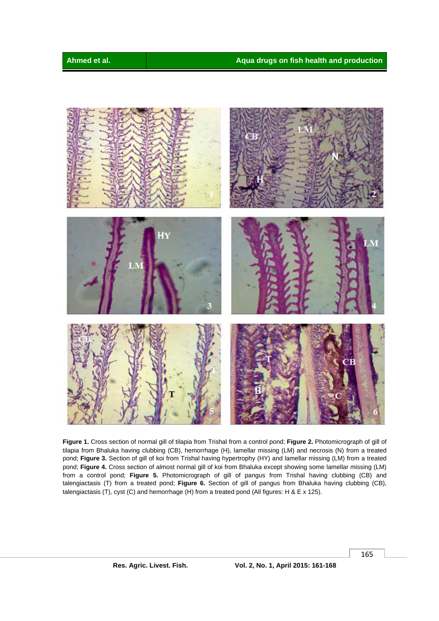

**Figure 1.** Cross section of normal gill of tilapia from Trishal from a control pond; **Figure 2.** Photomicrograph of gill of tilapia from Bhaluka having clubbing (CB), hemorrhage (H), lamellar missing (LM) and necrosis (N) from a treated pond; **Figure 3.** Section of gill of koi from Trishal having hypertrophy (HY) and lamellar missing (LM) from a treated pond; **Figure 4.** Cross section of almost normal gill of koi from Bhaluka except showing some lamellar missing (LM) from a control pond; **Figure 5.** Photomicrograph of gill of pangus from Trishal having clubbing (CB) and talengiactasis (T) from a treated pond; **Figure 6.** Section of gill of pangus from Bhaluka having clubbing (CB), talengiactasis (T), cyst (C) and hemorrhage (H) from a treated pond (All figures: H & E x 125).

165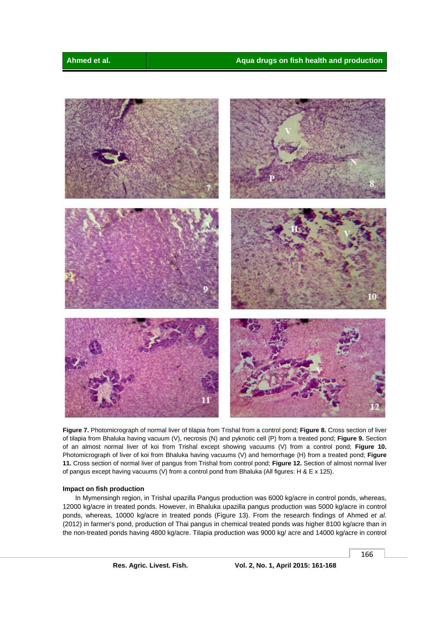

**Figure 7.** Photomicrograph of normal liver of tilapia from Trishal from a control pond; **Figure 8.** Cross section of liver of tilapia from Bhaluka having vacuum (V), necrosis (N) and pyknotic cell (P) from a treated pond; **Figure 9.** Section of an almost normal liver of koi from Trishal except showing vacuums (V) from a control pond; **Figure 10.** Photomicrograph of liver of koi from Bhaluka having vacuums (V) and hemorrhage (H) from a treated pond; **Figure 11.** Cross section of normal liver of pangus from Trishal from control pond; **Figure 12.** Section of almost normal liver of pangus except having vacuums (V) from a control pond from Bhaluka (All figures: H & E x 125).

### **Impact on fish production**

 In Mymensingh region, in Trishal upazilla Pangus production was 6000 kg/acre in control ponds, whereas, 12000 kg/acre in treated ponds. However, in Bhaluka upazilla pangus production was 5000 kg/acre in control ponds, whereas, 10000 kg/acre in treated ponds (Figure 13). From the research findings of Ahmed *et al.* (2012) in farmer's pond, production of Thai pangus in chemical treated ponds was higher 8100 kg/acre than in the non-treated ponds having 4800 kg/acre. Tilapia production was 9000 kg/ acre and 14000 kg/acre in control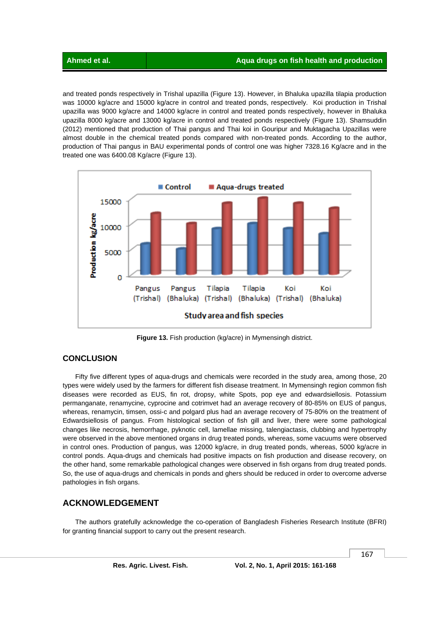and treated ponds respectively in Trishal upazilla (Figure 13). However, in Bhaluka upazilla tilapia production was 10000 kg/acre and 15000 kg/acre in control and treated ponds, respectively. Koi production in Trishal upazilla was 9000 kg/acre and 14000 kg/acre in control and treated ponds respectively, however in Bhaluka upazilla 8000 kg/acre and 13000 kg/acre in control and treated ponds respectively (Figure 13). Shamsuddin (2012) mentioned that production of Thai pangus and Thai koi in Gouripur and Muktagacha Upazillas were almost double in the chemical treated ponds compared with non-treated ponds. According to the author, production of Thai pangus in BAU experimental ponds of control one was higher 7328.16 Kg/acre and in the treated one was 6400.08 Kg/acre (Figure 13).



**Figure 13.** Fish production (kg/acre) in Mymensingh district.

## **CONCLUSION**

 Fifty five different types of aqua-drugs and chemicals were recorded in the study area, among those, 20 types were widely used by the farmers for different fish disease treatment. In Mymensingh region common fish diseases were recorded as EUS, fin rot, dropsy, white Spots, pop eye and edwardsiellosis. Potassium permanganate, renamycine, cyprocine and cotrimvet had an average recovery of 80-85% on EUS of pangus, whereas, renamycin, timsen, ossi-c and polgard plus had an average recovery of 75-80% on the treatment of Edwardsiellosis of pangus. From histological section of fish gill and liver, there were some pathological changes like necrosis, hemorrhage, pyknotic cell, lamellae missing, talengiactasis, clubbing and hypertrophy were observed in the above mentioned organs in drug treated ponds, whereas, some vacuums were observed in control ones. Production of pangus, was 12000 kg/acre, in drug treated ponds, whereas, 5000 kg/acre in control ponds. Aqua-drugs and chemicals had positive impacts on fish production and disease recovery, on the other hand, some remarkable pathological changes were observed in fish organs from drug treated ponds. So, the use of aqua-drugs and chemicals in ponds and ghers should be reduced in order to overcome adverse pathologies in fish organs.

# **ACKNOWLEDGEMENT**

 The authors gratefully acknowledge the co-operation of Bangladesh Fisheries Research Institute (BFRI) for granting financial support to carry out the present research.